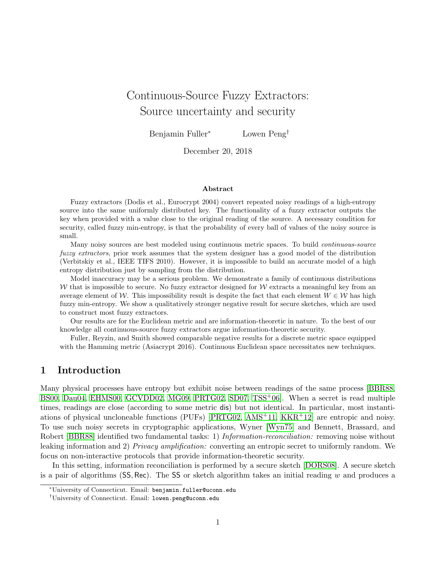# Continuous-Source Fuzzy Extractors: Source uncertainty and security

Benjamin Fuller<sup>∗</sup> Lowen Peng†

December 20, 2018

#### Abstract

Fuzzy extractors (Dodis et al., Eurocrypt 2004) convert repeated noisy readings of a high-entropy source into the same uniformly distributed key. The functionality of a fuzzy extractor outputs the key when provided with a value close to the original reading of the source. A necessary condition for security, called fuzzy min-entropy, is that the probability of every ball of values of the noisy source is small.

Many noisy sources are best modeled using continuous metric spaces. To build continuous-source fuzzy extractors, prior work assumes that the system designer has a good model of the distribution (Verbitskiy et al., IEEE TIFS 2010). However, it is impossible to build an accurate model of a high entropy distribution just by sampling from the distribution.

Model inaccuracy may be a serious problem. We demonstrate a family of continuous distributions W that is impossible to secure. No fuzzy extractor designed for W extracts a meaningful key from an average element of W. This impossibility result is despite the fact that each element  $W \in \mathcal{W}$  has high fuzzy min-entropy. We show a qualitatively stronger negative result for secure sketches, which are used to construct most fuzzy extractors.

Our results are for the Euclidean metric and are information-theoretic in nature. To the best of our knowledge all continuous-source fuzzy extractors argue information-theoretic security.

Fuller, Reyzin, and Smith showed comparable negative results for a discrete metric space equipped with the Hamming metric (Asiacrypt 2016). Continuous Euclidean space necessitates new techniques.

## 1 Introduction

Many physical processes have entropy but exhibit noise between readings of the same process [\[BBR88,](#page-18-0) [BS00,](#page-18-1) [Dau04,](#page-19-0) [EHMS00,](#page-19-1) [GCVDD02,](#page-19-2) [MG09,](#page-20-0) [PRTG02,](#page-20-1) [SD07,](#page-20-2) [TSS](#page-20-3)+06]. When a secret is read multiple times, readings are close (according to some metric dis) but not identical. In particular, most instantiations of physical uncloneable functions (PUFs) [\[PRTG02,](#page-20-1) [AMS](#page-18-2)+11, [KKR](#page-19-3)+12] are entropic and noisy. To use such noisy secrets in cryptographic applications, Wyner [\[Wyn75\]](#page-21-0) and Bennett, Brassard, and Robert [\[BBR88\]](#page-18-0) identified two fundamental tasks: 1) *Information-reconciliation:* removing noise without leaking information and 2) Privacy amplification: converting an entropic secret to uniformly random. We focus on non-interactive protocols that provide information-theoretic security.

In this setting, information reconciliation is performed by a secure sketch [\[DORS08\]](#page-19-4). A secure sketch is a pair of algorithms (SS, Rec). The SS or sketch algorithm takes an initial reading w and produces a

<sup>∗</sup>University of Connecticut. Email: benjamin.fuller@uconn.edu

<sup>†</sup>University of Connecticut. Email: lowen.peng@uconn.edu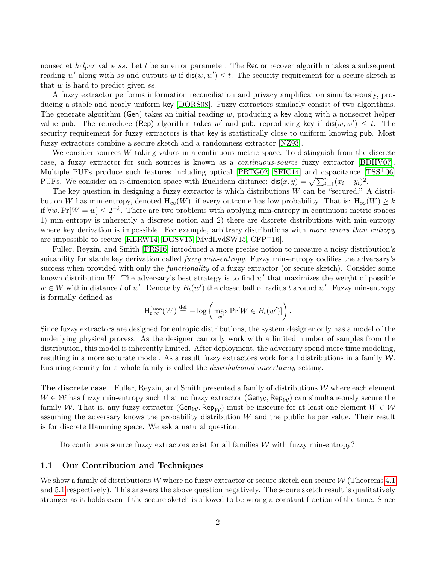nonsecret *helper* value ss. Let t be an error parameter. The Rec or recover algorithm takes a subsequent reading w' along with ss and outputs w if  $dis(w, w') \leq t$ . The security requirement for a secure sketch is that  $w$  is hard to predict given  $ss$ .

A fuzzy extractor performs information reconciliation and privacy amplification simultaneously, producing a stable and nearly uniform key [\[DORS08\]](#page-19-4). Fuzzy extractors similarly consist of two algorithms. The generate algorithm (Gen) takes an initial reading  $w$ , producing a key along with a nonsecret helper value pub. The reproduce (Rep) algorithm takes w' and pub, reproducing key if  $dis(w, w') \leq t$ . The security requirement for fuzzy extractors is that key is statistically close to uniform knowing pub. Most fuzzy extractors combine a secure sketch and a randomness extractor [\[NZ93\]](#page-20-4).

We consider sources  $W$  taking values in a continuous metric space. To distinguish from the discrete case, a fuzzy extractor for such sources is known as a continuous-source fuzzy extractor [\[BDHV07\]](#page-18-3). Multiple PUFs produce such features including optical  $[PRTG02, SFIC14]$  $[PRTG02, SFIC14]$  and capacitance  $[TSS<sup>+</sup>06]$ PUFs. We consider an *n*-dimension space with Euclidean distance:  $\text{dis}(x, y) = \sqrt{\sum_{i=1}^{n} (x_i - y_i)^2}$ .

The key question in designing a fuzzy extractor is which distributions  $W$  can be "secured." A distribution W has min-entropy, denoted  $H_{\infty}(W)$ , if every outcome has low probability. That is:  $H_{\infty}(W) \geq k$ if  $\forall w, \Pr[W = w] \leq 2^{-k}$ . There are two problems with applying min-entropy in continuous metric spaces 1) min-entropy is inherently a discrete notion and 2) there are discrete distributions with min-entropy where key derivation is impossible. For example, arbitrary distributions with more errors than entropy are impossible to secure [\[KLRW14,](#page-19-5) [DGSV15,](#page-19-6) [MvdLvdSW15,](#page-20-6) [CFP](#page-18-4)+16].

Fuller, Reyzin, and Smith [\[FRS16\]](#page-19-7) introduced a more precise notion to measure a noisy distribution's suitability for stable key derivation called *fuzzy min-entropy*. Fuzzy min-entropy codifies the adversary's success when provided with only the *functionality* of a fuzzy extractor (or secure sketch). Consider some known distribution W. The adversary's best strategy is to find  $w'$  that maximizes the weight of possible  $w \in W$  within distance t of w'. Denote by  $B_t(w')$  the closed ball of radius t around w'. Fuzzy min-entropy is formally defined as

$$
\mathcal{H}_{t,\infty}^{\mathbf{fuzz}}(W) \stackrel{\text{def}}{=} -\log \left( \max_{w'} \Pr[W \in B_t(w')] \right).
$$

Since fuzzy extractors are designed for entropic distributions, the system designer only has a model of the underlying physical process. As the designer can only work with a limited number of samples from the distribution, this model is inherently limited. After deployment, the adversary spend more time modeling, resulting in a more accurate model. As a result fuzzy extractors work for all distributions in a family W. Ensuring security for a whole family is called the distributional uncertainty setting.

**The discrete case** Fuller, Reyzin, and Smith presented a family of distributions  $W$  where each element  $W \in \mathcal{W}$  has fuzzy min-entropy such that no fuzzy extractor ( $\mathsf{Gen}_{\mathcal{W}}, \mathsf{Rep}_{\mathcal{W}}$ ) can simultaneously secure the family W. That is, any fuzzy extractor ( $\mathsf{Gen}_{\mathcal{W}}$ ,  $\mathsf{Rep}_{\mathcal{W}}$ ) must be insecure for at least one element  $W \in \mathcal{W}$ assuming the adversary knows the probability distribution W and the public helper value. Their result is for discrete Hamming space. We ask a natural question:

Do continuous source fuzzy extractors exist for all families  $W$  with fuzzy min-entropy?

#### 1.1 Our Contribution and Techniques

We show a family of distributions W where no fuzzy extractor or secure sketch can secure W (Theorems [4.1](#page-8-0)) and [5.1](#page-13-0) respectively). This answers the above question negatively. The secure sketch result is qualitatively stronger as it holds even if the secure sketch is allowed to be wrong a constant fraction of the time. Since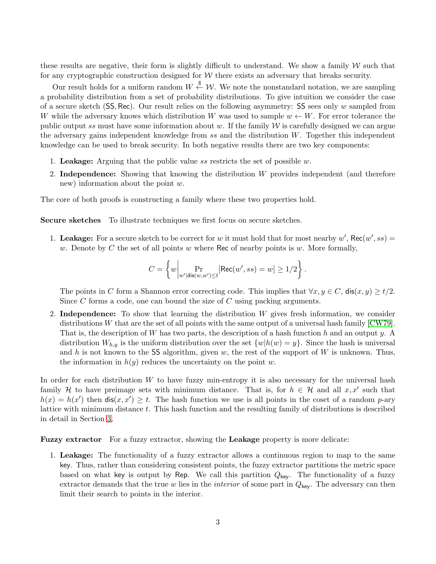these results are negative, their form is slightly difficult to understand. We show a family  $W$  such that for any cryptographic construction designed for  $W$  there exists an adversary that breaks security.

Our result holds for a uniform random  $W \overset{\$}{\leftarrow} \mathcal{W}$ . We note the nonstandard notation, we are sampling a probability distribution from a set of probability distributions. To give intuition we consider the case of a secure sketch  $(SS, Rec)$ . Our result relies on the following asymmetry: SS sees only w sampled from W while the adversary knows which distribution W was used to sample  $w \leftarrow W$ . For error tolerance the public output ss must have some information about w. If the family  $W$  is carefully designed we can argue the adversary gains independent knowledge from  $ss$  and the distribution  $W$ . Together this independent knowledge can be used to break security. In both negative results there are two key components:

- 1. Leakage: Arguing that the public value ss restricts the set of possible  $w$ .
- 2. Independence: Showing that knowing the distribution W provides independent (and therefore new) information about the point w.

The core of both proofs is constructing a family where these two properties hold.

Secure sketches To illustrate techniques we first focus on secure sketches.

1. Leakage: For a secure sketch to be correct for w it must hold that for most nearby  $w'$ , Rec $(w', ss)$  = w. Denote by  $C$  the set of all points  $w$  where Rec of nearby points is  $w$ . More formally,

$$
C = \left\{ w \middle| \Pr_{w' | \text{dis}(w, w') \le t}[\text{Rec}(w', ss) = w] \ge 1/2 \right\}.
$$

The points in C form a Shannon error correcting code. This implies that  $\forall x, y \in C$ ,  $\textsf{dis}(x, y) \geq t/2$ . Since  $C$  forms a code, one can bound the size of  $C$  using packing arguments.

2. Independence: To show that learning the distribution  $W$  gives fresh information, we consider distributions W that are the set of all points with the same output of a universal hash family  $\left[{\rm CW79}\right]$ . That is, the description of W has two parts, the description of a hash function h and an output y. A distribution  $W_{h,y}$  is the uniform distribution over the set  $\{w|h(w) = y\}$ . Since the hash is universal and h is not known to the SS algorithm, given w, the rest of the support of  $W$  is unknown. Thus, the information in  $h(y)$  reduces the uncertainty on the point w.

In order for each distribution  $W$  to have fuzzy min-entropy it is also necessary for the universal hash family H to have preimage sets with minimum distance. That is, for  $h \in \mathcal{H}$  and all  $x, x'$  such that  $h(x) = h(x')$  then  $dis(x, x') \ge t$ . The hash function we use is all points in the coset of a random p-ary lattice with minimum distance  $t$ . This hash function and the resulting family of distributions is described in detail in Section [3.](#page-6-0)

Fuzzy extractor For a fuzzy extractor, showing the Leakage property is more delicate:

1. Leakage: The functionality of a fuzzy extractor allows a continuous region to map to the same key. Thus, rather than considering consistent points, the fuzzy extractor partitions the metric space based on what key is output by Rep. We call this partition  $Q_{\text{key}}$ . The functionality of a fuzzy extractor demands that the true w lies in the *interior* of some part in  $Q_{\text{kev}}$ . The adversary can then limit their search to points in the interior.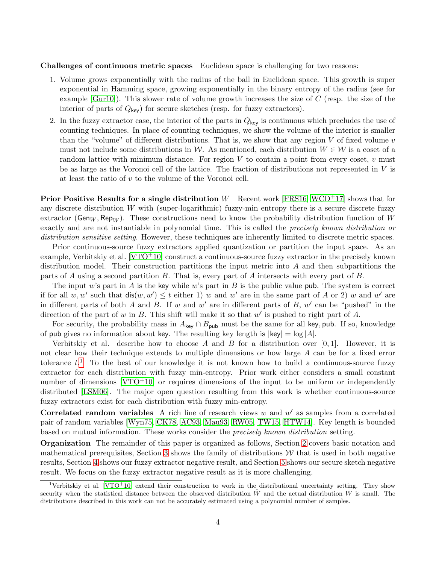Challenges of continuous metric spaces Euclidean space is challenging for two reasons:

- 1. Volume grows exponentially with the radius of the ball in Euclidean space. This growth is super exponential in Hamming space, growing exponentially in the binary entropy of the radius (see for example  $[Gur10]$ ). This slower rate of volume growth increases the size of  $C$  (resp. the size of the interior of parts of  $Q_{\text{key}}$ ) for secure sketches (resp. for fuzzy extractors).
- 2. In the fuzzy extractor case, the interior of the parts in  $Q_{\text{key}}$  is continuous which precludes the use of counting techniques. In place of counting techniques, we show the volume of the interior is smaller than the "volume" of different distributions. That is, we show that any region  $V$  of fixed volume  $v$ must not include some distributions in W. As mentioned, each distribution  $W \in \mathcal{W}$  is a coset of a random lattice with minimum distance. For region  $V$  to contain a point from every coset,  $v$  must be as large as the Voronoi cell of the lattice. The fraction of distributions not represented in V is at least the ratio of v to the volume of the Voronoi cell.

**Prior Positive Results for a single distribution** W Recent work [\[FRS16,](#page-19-7) [WCD](#page-20-7)<sup>+</sup>17] shows that for any discrete distribution W with (super-logarithmic) fuzzy-min entropy there is a secure discrete fuzzy extractor (Gen<sub>W</sub>, Rep<sub>W</sub>). These constructions need to know the probability distribution function of W exactly and are not instantiable in polynomial time. This is called the precisely known distribution or distribution sensitive setting. However, these techniques are inherently limited to discrete metric spaces.

Prior continuous-source fuzzy extractors applied quantization or partition the input space. As an example, Verbitskiy et al.  $[VTO+10]$  construct a continuous-source fuzzy extractor in the precisely known distribution model. Their construction partitions the input metric into  $A$  and then subpartitions the parts of A using a second partition B. That is, every part of A intersects with every part of B.

The input w's part in A is the key while w's part in B is the public value pub. The system is correct if for all  $w, w'$  such that  $\textsf{dis}(w, w') \leq t$  either 1) w and w' are in the same part of A or 2) w and w' are in different parts of both A and B. If w and w' are in different parts of B, w' can be "pushed" in the direction of the part of  $w$  in  $B$ . This shift will make it so that  $w'$  is pushed to right part of  $A$ .

For security, the probability mass in  $A_{\text{key}} \cap B_{\text{pub}}$  must be the same for all key, pub. If so, knowledge of pub gives no information about key. The resulting key length is  $|key| = log |A|$ .

Verbitskiy et al. describe how to choose A and B for a distribution over  $[0,1]$ . However, it is not clear how their technique extends to multiple dimensions or how large A can be for a fixed error tolerance  $t^{1}$  $t^{1}$  $t^{1}$ . To the best of our knowledge it is not known how to build a continuous-source fuzzy extractor for each distribution with fuzzy min-entropy. Prior work either considers a small constant number of dimensions  $[\text{VTO}^+10]$  or requires dimensions of the input to be uniform or independently distributed [\[LSM06\]](#page-20-9). The major open question resulting from this work is whether continuous-source fuzzy extractors exist for each distribution with fuzzy min-entropy.

Correlated random variables A rich line of research views  $w$  and  $w'$  as samples from a correlated pair of random variables [\[Wyn75,](#page-21-0) [CK78,](#page-18-6) [AC93,](#page-18-7) [Mau93,](#page-20-10) [RW05,](#page-20-11) [TW15,](#page-20-12) [HTW14\]](#page-19-9). Key length is bounded based on mutual information. These works consider the precisely known distribution setting.

Organization The remainder of this paper is organized as follows, Section [2](#page-4-0) covers basic notation and mathematical prerequisites, Section [3](#page-6-0) shows the family of distributions  $W$  that is used in both negative results, Section [4](#page-8-1) shows our fuzzy extractor negative result, and Section [5](#page-13-1) shows our secure sketch negative result. We focus on the fuzzy extractor negative result as it is more challenging.

<span id="page-3-0"></span><sup>&</sup>lt;sup>1</sup>Verbitskiy et al. [\[VTO](#page-20-8)<sup>+</sup>10] extend their construction to work in the distributional uncertainty setting. They show security when the statistical distance between the observed distribution  $W$  and the actual distribution  $W$  is small. The distributions described in this work can not be accurately estimated using a polynomial number of samples.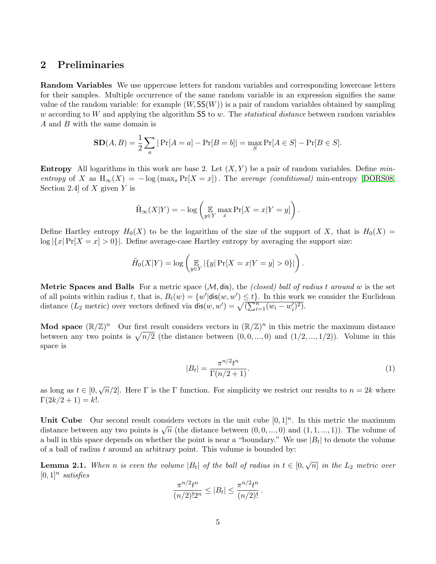### <span id="page-4-0"></span>2 Preliminaries

Random Variables We use uppercase letters for random variables and corresponding lowercase letters for their samples. Multiple occurrence of the same random variable in an expression signifies the same value of the random variable: for example  $(W, SS(W))$  is a pair of random variables obtained by sampling w according to W and applying the algorithm  $SS$  to w. The *statistical distance* between random variables A and B with the same domain is

$$
SD(A, B) = \frac{1}{2} \sum_{a} |Pr[A = a] - Pr[B = b]| = \max_{S} Pr[A \in S] - Pr[B \in S].
$$

**Entropy** All logarithms in this work are base 2. Let  $(X, Y)$  be a pair of random variables. Define minentropy of X as  $H_{\infty}(X) = -\log(\max_x \Pr[X=x])$ . The average (conditional) min-entropy [\[DORS08,](#page-19-4) Section 2.4 of X given Y is

$$
\tilde{H}_{\infty}(X|Y) = -\log\left(\mathop{\mathbb{E}}_{y \in Y} \max_{x} \Pr[X = x | Y = y]\right)
$$

Define Hartley entropy  $H_0(X)$  to be the logarithm of the size of the support of X, that is  $H_0(X)$  =  $\log |\{x| \Pr[X = x] > 0\}|$ . Define average-case Hartley entropy by averaging the support size:

$$
\tilde{H}_0(X|Y) = \log \left( \mathop{\mathbb{E}}_{y \in Y} |\{y| \Pr[X = x | Y = y] > 0\}| \right).
$$

**Metric Spaces and Balls** For a metric space  $(M, dis)$ , the *(closed) ball of radius t around w* is the set of all points within radius t, that is,  $B_t(w) = \{w' | \text{dis}(w, w') \leq t\}$ . In this work we consider the Euclidean distance  $(L_2 \text{ metric})$  over vectors defined via  $\text{dis}(w, w') = \sqrt{\left(\sum_{i=1}^n (w_i - w'_i)^2\right)}$ .

Mod space  $(\mathbb{R}/\mathbb{Z})^n$  Our first result considers vectors in  $(\mathbb{R}/\mathbb{Z})^n$  in this metric the maximum distance between any two points is  $\sqrt{n/2}$  (the distance between  $(0, 0, ..., 0)$  and  $(1/2, ..., 1/2)$ ). Volume in this space is

$$
|B_t| = \frac{\pi^{n/2} t^n}{\Gamma(n/2 + 1)}.\tag{1}
$$

<span id="page-4-1"></span>.

as long as  $t \in [0, \sqrt{n}/2]$ . Here  $\Gamma$  is the  $\Gamma$  function. For simplicity we restrict our results to  $n = 2k$  where  $\Gamma(2k/2 + 1) = k!$ .

Unit Cube Our second result considers vectors in the unit cube  $[0,1]^n$ . In this metric the maximum **OINT CLOSE** OUT SECOND TESULT CONSIDERS VECTORS IN the UNIT CLOSE [0, 1]. IN this metric the maximum distance between any two points is  $\sqrt{n}$  (the distance between  $(0, 0, ..., 0)$  and  $(1, 1, ..., 1)$ ). The volume of a ball in this space depends on whether the point is near a "boundary." We use  $|B_t|$  to denote the volume of a ball of radius  $t$  around an arbitrary point. This volume is bounded by:

<span id="page-4-2"></span>**Lemma 2.1.** When n is even the volume  $|B_t|$  of the ball of radius in  $t \in [0, \sqrt{n}]$  in the  $L_2$  metric over  $[0,1]^n$  satisfies

$$
\frac{\pi^{n/2}t^n}{(n/2)!2^n} \le |B_t| \le \frac{\pi^{n/2}t^n}{(n/2)!}.
$$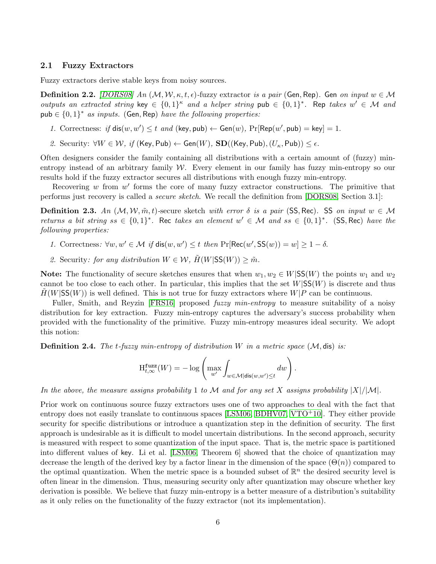#### 2.1 Fuzzy Extractors

Fuzzy extractors derive stable keys from noisy sources.

**Definition 2.2.** [\[DORS08\]](#page-19-4) An  $(M, W, \kappa, t, \epsilon)$ -fuzzy extractor is a pair (Gen, Rep). Gen on input  $w \in M$ outputs an extracted string key  $\in \{0,1\}^{\kappa}$  and a helper string pub  $\in \{0,1\}^*$ . Rep takes  $w' \in \mathcal{M}$  and pub  $\in \{0,1\}^*$  as inputs. (Gen, Rep) have the following properties:

- 1. Correctness: if  $dis(w, w') \leq t$  and  $(key, pub) \leftarrow Gen(w), Pr[Rep(w', pub) = key] = 1$ .
- 2. Security:  $\forall W \in \mathcal{W}, \text{ if } (\mathsf{Key}, \mathsf{Pub}) \leftarrow \mathsf{Gen}(W), \mathbf{SD}((\mathsf{Key}, \mathsf{Pub}), (U_{\kappa}, \mathsf{Pub})) \leq \epsilon.$

Often designers consider the family containing all distributions with a certain amount of (fuzzy) minentropy instead of an arbitrary family  $W$ . Every element in our family has fuzzy min-entropy so our results hold if the fuzzy extractor secures all distributions with enough fuzzy min-entropy.

Recovering  $w$  from  $w'$  forms the core of many fuzzy extractor constructions. The primitive that performs just recovery is called a secure sketch. We recall the definition from [\[DORS08,](#page-19-4) Section 3.1]:

**Definition 2.3.** An  $(M, W, \tilde{m}, t)$ -secure sketch with error  $\delta$  is a pair (SS, Rec). SS on input  $w \in M$ returns a bit string  $ss \in \{0,1\}^*$ . Rec takes an element  $w' \in \mathcal{M}$  and  $ss \in \{0,1\}^*$ . (SS, Rec) have the following properties:

- 1. Correctness:  $\forall w, w' \in \mathcal{M}$  if  $dis(w, w') \leq t$  then  $Pr[Rec(w', SS(w)) = w] \geq 1 \delta$ .
- 2. Security: for any distribution  $W \in \mathcal{W}$ ,  $\tilde{H}(W|SS(W)) \geq \tilde{m}$ .

Note: The functionality of secure sketches ensures that when  $w_1, w_2 \in W|SS(W)$  the points  $w_1$  and  $w_2$ cannot be too close to each other. In particular, this implies that the set  $W|SS(W)$  is discrete and thus  $H(W|SS(W))$  is well defined. This is not true for fuzzy extractors where  $W|P$  can be continuous.

Fuller, Smith, and Reyzin [\[FRS16\]](#page-19-7) proposed *fuzzy min-entropy* to measure suitability of a noisy distribution for key extraction. Fuzzy min-entropy captures the adversary's success probability when provided with the functionality of the primitive. Fuzzy min-entropy measures ideal security. We adopt this notion:

**Definition 2.4.** The t-fuzzy min-entropy of distribution W in a metric space  $(M, \text{dis})$  is:

$$
\mathrm{H}^{\mathrm{fuzz}}_{t,\infty}(W) = -\log\left(\max_{w'}\int_{w \in \mathcal{M}|\mathrm{dis}(w,w') \leq t} dw\right).
$$

In the above, the measure assigns probability 1 to M and for any set X assigns probability  $|X|/|M|$ .

Prior work on continuous source fuzzy extractors uses one of two approaches to deal with the fact that entropy does not easily translate to continuous spaces [\[LSM06,](#page-20-9) [BDHV07,](#page-18-3) [VTO](#page-20-8)<sup>+</sup>10]. They either provide security for specific distributions or introduce a quantization step in the definition of security. The first approach is undesirable as it is difficult to model uncertain distributions. In the second approach, security is measured with respect to some quantization of the input space. That is, the metric space is partitioned into different values of key. Li et al. [\[LSM06,](#page-20-9) Theorem 6] showed that the choice of quantization may decrease the length of the derived key by a factor linear in the dimension of the space  $(\Theta(n))$  compared to the optimal quantization. When the metric space is a bounded subset of  $\mathbb{R}^n$  the desired security level is often linear in the dimension. Thus, measuring security only after quantization may obscure whether key derivation is possible. We believe that fuzzy min-entropy is a better measure of a distribution's suitability as it only relies on the functionality of the fuzzy extractor (not its implementation).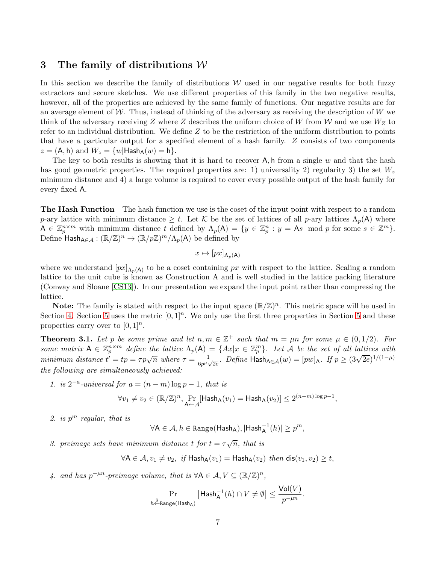## <span id="page-6-0"></span>3 The family of distributions  $W$

In this section we describe the family of distributions  $W$  used in our negative results for both fuzzy extractors and secure sketches. We use different properties of this family in the two negative results, however, all of the properties are achieved by the same family of functions. Our negative results are for an average element of  $W$ . Thus, instead of thinking of the adversary as receiving the description of  $W$  we think of the adversary receiving Z where Z describes the uniform choice of W from W and we use  $W_Z$  to refer to an individual distribution. We define  $Z$  to be the restriction of the uniform distribution to points that have a particular output for a specified element of a hash family. Z consists of two components  $z = (A, h)$  and  $W_z = \{w | \text{Hash}_A(w) = h\}.$ 

The key to both results is showing that it is hard to recover  $A$ , h from a single w and that the hash has good geometric properties. The required properties are: 1) universality 2) regularity 3) the set  $W_z$ minimum distance and 4) a large volume is required to cover every possible output of the hash family for every fixed A.

The Hash Function The hash function we use is the coset of the input point with respect to a random p-ary lattice with minimum distance  $\geq t$ . Let K be the set of lattices of all p-ary lattices  $\Lambda_p(\mathsf{A})$  where  $A \in \mathbb{Z}_p^{n \times m}$  with minimum distance t defined by  $\Lambda_p(A) = \{y \in \mathbb{Z}_p^n : y = As \mod p \text{ for some } s \in \mathbb{Z}^m\}.$ Define  $\overline{\mathsf{Hash}}_{\mathsf{A} \in \mathcal{A}} : (\mathbb{R}/\mathbb{Z})^n \to (\mathbb{R}/p\mathbb{Z})^m/\Lambda_p(\mathsf{A})$  be defined by

$$
x \mapsto [px]_{\Lambda_p(\mathsf{A})}
$$

where we understand  $[px]_{\Lambda_p(A)}$  to be a coset containing px with respect to the lattice. Scaling a random lattice to the unit cube is known as Construction A and is well studied in the lattice packing literature (Conway and Sloane [\[CS13\]](#page-18-8)). In our presentation we expand the input point rather than compressing the lattice.

**Note:** The family is stated with respect to the input space  $(\mathbb{R}/\mathbb{Z})^n$ . This metric space will be used in Section [4.](#page-8-1) Section [5](#page-13-1) uses the metric  $[0,1]^n$ . We only use the first three properties in Section 5 and these properties carry over to  $[0,1]^n$ .

<span id="page-6-1"></span>**Theorem 3.1.** Let p be some prime and let  $n, m \in \mathbb{Z}^+$  such that  $m = \mu n$  for some  $\mu \in (0, 1/2)$ . For some matrix  $A \in \mathbb{Z}_p^{n \times m}$  define the lattice  $\Lambda_p(A) = \{Ax | x \in \mathbb{Z}_p^m\}$ . Let A be the set of all lattices with minimum distance  $t' = tp = \tau p\sqrt{n}$  where  $\tau = \frac{1}{C_0 n}$  $\frac{1}{6p^{\mu}\sqrt{2e}}$ . Define Hash<sub>A∈A</sub>(w) = [pw]<sub>A</sub>. If  $p \geq (3\sqrt{2e})^{1/(1-\mu)}$ the following are simultaneously achieved:

1. is  $2^{-a}$ -universal for  $a = (n - m) \log p - 1$ , that is

$$
\forall v_1 \neq v_2 \in (\mathbb{R}/\mathbb{Z})^n, \Pr_{\mathsf{A} \leftarrow \mathcal{A}}[\mathsf{Hash}_{\mathsf{A}}(v_1) = \mathsf{Hash}_{\mathsf{A}}(v_2)] \leq 2^{(n-m)\log p - 1},
$$

2. is  $p^m$  regular, that is

$$
\forall \mathsf{A}\in \mathcal{A}, h\in \mathtt{Range}(\mathsf{Hash}_{\mathsf{A}}), |\mathsf{Hash}_{\mathsf{A}}^{-1}(h)|\geq p^m,
$$

3. preimage sets have minimum distance t for  $t = \tau \sqrt{n}$ , that is

$$
\forall A \in \mathcal{A}, v_1 \neq v_2, \text{ if } \mathsf{Hash}_{A}(v_1) = \mathsf{Hash}_{A}(v_2) \text{ then } \mathsf{dis}(v_1, v_2) \geq t,
$$

4. and has  $p^{-\mu n}$ -preimage volume, that is  $\forall A \in \mathcal{A}, V \subseteq (\mathbb{R}/\mathbb{Z})^n$ ,

$$
\Pr_{h \leftarrow \text{Range}(\text{Hash}_A)} \left[ \text{Hash}_A^{-1}(h) \cap V \neq \emptyset \right] \le \frac{\text{Vol}(V)}{p^{-\mu n}}.
$$

 $V = V(T, \tau)$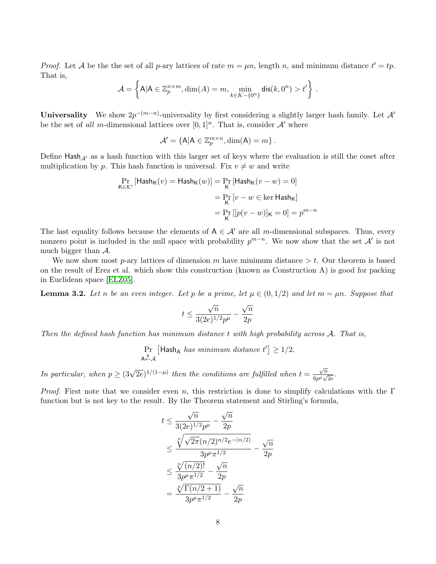*Proof.* Let A be the the set of all p-ary lattices of rate  $m = \mu n$ , length n, and minimum distance  $t' = tp$ . That is,

$$
\mathcal{A} = \left\{ A | A \in \mathbb{Z}_p^{n \times m}, \dim(A) = m, \min_{k \in K - \{0^n\}} \text{dis}(k, 0^n) > t' \right\}.
$$

**Universality** We show  $2p^{-(m-n)}$ -universality by first considering a slightly larger hash family. Let A<sup>t</sup> be the set of all m-dimensional lattices over  $[0,1]^n$ . That is, consider A' where

$$
\mathcal{A}' = \{A | A \in \mathbb{Z}_p^{m \times n}, \dim(A) = m\}.
$$

Define Hash $_{\mathcal{A}'}$  as a hash function with this larger set of keys where the evaluation is still the coset after multiplication by p. This hash function is universal. Fix  $v \neq w$  and write

$$
\Pr_{\mathsf{K} \in \mathcal{K}'} \left[ \mathsf{Hash}_{\mathsf{K}}(v) = \mathsf{Hash}_{\mathsf{K}}(w) \right] = \Pr_{\mathsf{K}} \left[ \mathsf{Hash}_{\mathsf{K}}(v - w) = 0 \right]
$$
\n
$$
= \Pr_{\mathsf{K}} \left[ v - w \in \ker \mathsf{Hash}_{\mathsf{K}} \right]
$$
\n
$$
= \Pr_{\mathsf{K}} \left[ [p(v - w)]_{\mathsf{K}} = 0 \right] = p^{m - n}
$$

The last equality follows because the elements of  $A \in \mathcal{A}'$  are all m-dimensional subspaces. Thus, every nonzero point is included in the null space with probability  $p^{m-n}$ . We now show that the set  $\mathcal{A}'$  is not much bigger than  $A$ .

We now show most p-ary lattices of dimension m have minimum distance  $>t$ . Our theorem is based on the result of Erez et al. which show this construction (known as Construction A) is good for packing in Euclidean space [\[ELZ05\]](#page-19-10).

<span id="page-7-0"></span>**Lemma 3.2.** Let n be an even integer. Let p be a prime, let  $\mu \in (0,1/2)$  and let  $m = \mu n$ . Suppose that

$$
t \le \frac{\sqrt{n}}{3(2e)^{1/2}p^{\mu}} - \frac{\sqrt{n}}{2p}
$$

Then the defined hash function has minimum distance t with high probability across A. That is,

$$
\Pr_{A \xleftarrow{\$}} \left[ \mathsf{Hash}_A \text{ has minimum distance } t' \right] \geq 1/2.
$$

In particular, when  $p \geq (3\sqrt{2e})^{1/(1-\mu)}$  then the conditions are fulfilled when  $t =$  $\sqrt{n}$  $\frac{\sqrt{n}}{6p^{\mu}\sqrt{2e}}.$ 

*Proof.* First note that we consider even n, this restriction is done to simplify calculations with the Γ function but is not key to the result. By the Theorem statement and Stirling's formula,

$$
t \le \frac{\sqrt{n}}{3(2e)^{1/2}p^{\mu}} - \frac{\sqrt{n}}{2p}
$$
  

$$
\le \frac{\sqrt[n]{\sqrt{2\pi}(n/2)^{n/2}e^{-(n/2)}}}{3p^{\mu}\pi^{1/2}} - \frac{\sqrt{n}}{2p}
$$
  

$$
\le \frac{\sqrt[n]{(n/2)!}}{3p^{\mu}\pi^{1/2}} - \frac{\sqrt{n}}{2p}
$$
  

$$
= \frac{\sqrt[n]{\Gamma(n/2+1)}}{3p^{\mu}\pi^{1/2}} - \frac{\sqrt{n}}{2p}
$$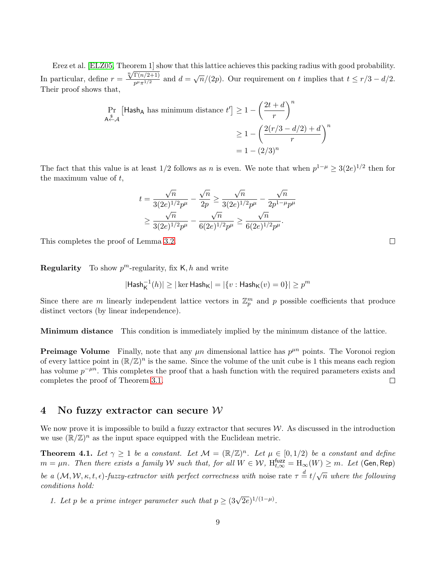Erez et al. [\[ELZ05,](#page-19-10) Theorem 1] show that this lattice achieves this packing radius with good probability. Erez et al. [ELZ03, Theorem 1] s<br>In particular, define  $r = \frac{\sqrt[n]{\Gamma(n/2+1)}}{n!n!}$  $\frac{\Gamma(n/2+1)}{p^{\mu}\pi^{1/2}}$  and  $d=\sqrt{n}/(2p)$ . Our requirement on t implies that  $t \leq r/3 - d/2$ . Their proof shows that,

$$
\Pr_{\mathsf{A}\xleftarrow{\$}}\left[\mathsf{Hash}_{\mathsf{A}}\text{ has minimum distance }t'\right] \ge 1 - \left(\frac{2t+d}{r}\right)^n
$$
\n
$$
\ge 1 - \left(\frac{2(r/3 - d/2) + d}{r}\right)^n
$$
\n
$$
= 1 - (2/3)^n
$$

The fact that this value is at least 1/2 follows as n is even. We note that when  $p^{1-\mu} \geq 3(2e)^{1/2}$  then for the maximum value of t,

$$
t = \frac{\sqrt{n}}{3(2e)^{1/2}p^{\mu}} - \frac{\sqrt{n}}{2p} \ge \frac{\sqrt{n}}{3(2e)^{1/2}p^{\mu}} - \frac{\sqrt{n}}{2p^{1-\mu}p^{\mu}}
$$
  

$$
\ge \frac{\sqrt{n}}{3(2e)^{1/2}p^{\mu}} - \frac{\sqrt{n}}{6(2e)^{1/2}p^{\mu}} \ge \frac{\sqrt{n}}{6(2e)^{1/2}p^{\mu}}.
$$

This completes the proof of Lemma [3.2.](#page-7-0)

**Regularity** To show  $p^m$ -regularity, fix K, h and write

$$
|\mathsf{Hash}_{\mathsf{K}}^{-1}(h)| \geq |\ker\mathsf{Hash}_{\mathsf{K}}| = |\{v: \mathsf{Hash}_{\mathsf{K}}(v) = 0\}| \geq p^m
$$

Since there are m linearly independent lattice vectors in  $\mathbb{Z}_p^m$  and p possible coefficients that produce distinct vectors (by linear independence).

**Minimum distance** This condition is immediately implied by the minimum distance of the lattice.

**Preimage Volume** Finally, note that any  $\mu$ n dimensional lattice has  $p^{\mu n}$  points. The Voronoi region of every lattice point in  $(\mathbb{R}/\mathbb{Z})^n$  is the same. Since the volume of the unit cube is 1 this means each region has volume  $p^{-\mu n}$ . This completes the proof that a hash function with the required parameters exists and completes the proof of Theorem [3.1.](#page-6-1)  $\Box$ 

#### <span id="page-8-1"></span>4 No fuzzy extractor can secure  $W$

We now prove it is impossible to build a fuzzy extractor that secures  $W$ . As discussed in the introduction we use  $(\mathbb{R}/\mathbb{Z})^n$  as the input space equipped with the Euclidean metric.

<span id="page-8-0"></span>**Theorem 4.1.** Let  $\gamma \geq 1$  be a constant. Let  $\mathcal{M} = (\mathbb{R}/\mathbb{Z})^n$ . Let  $\mu \in [0,1/2)$  be a constant and define  $m=\mu n$ . Then there exists a family W such that, for all  $W\in\mathcal{W}$ ,  $\mathrm{H}_{t,\infty}^{\mathsf{fuzz}}=\mathrm{H}_{\infty}(W)\geq m$ . Let (Gen, Rep) be a  $(M, W, \kappa, t, \epsilon)$ -fuzzy-extractor with perfect correctness with noise rate  $\tau = t/\sqrt{n}$  where the following conditions hold:

1. Let p be a prime integer parameter such that  $p \geq (3\sqrt{2e})^{1/(1-\mu)}$ .

9

 $\Box$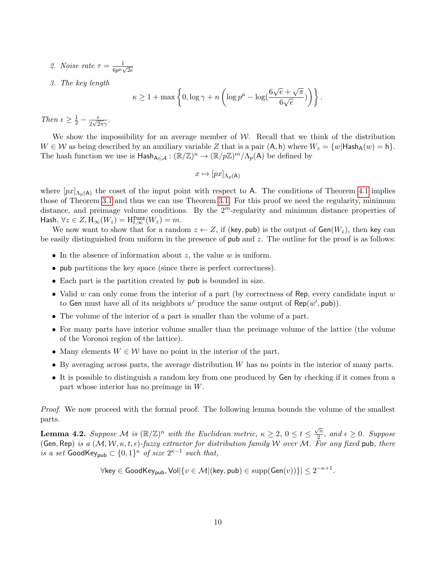- 2. Noise rate  $\tau = \frac{1}{c_0 t}$  $\frac{1}{6p^{\mu}\sqrt{2e}}$
- 3. The key length

$$
\kappa \ge 1 + \max\left\{0, \log \gamma + n\left(\log p^{\mu} - \log(\frac{6\sqrt{e} + \sqrt{\pi}}{6\sqrt{e}})\right)\right\}.
$$

Then  $\epsilon \geq \frac{1}{2} - \frac{e}{2\sqrt{2}}$  $\frac{e}{2\sqrt{2\pi}\gamma}$ .

We show the impossibility for an average member of  $W$ . Recall that we think of the distribution  $W \in \mathcal{W}$  as being described by an auxiliary variable Z that is a pair  $(A, h)$  where  $W_z = \{w | \text{Hash}_A(w) = h\}.$ The hash function we use is  $\mathsf{Hash}_{\mathsf{A}\in\mathcal{A}} : (\mathbb{R}/\mathbb{Z})^n \to (\mathbb{R}/p\mathbb{Z})^m/\Lambda_p(\mathsf{A})$  be defined by

$$
x \mapsto [px]_{\Lambda_p(\mathsf{A})}
$$

where  $[px]_{\Lambda_p(A)}$  the coset of the input point with respect to A. The conditions of Theorem [4.1](#page-8-0) implies those of Theorem [3.1](#page-6-1) and thus we can use Theorem [3.1.](#page-6-1) For this proof we need the regularity, minimum distance, and preimage volume conditions. By the  $2^m$ -regularity and minimum distance properties of Hash,  $\forall z \in Z, H_{\infty}(W_z) = H_{t,\infty}^{\text{fuzz}}(W_z) = m.$ 

We now want to show that for a random  $z \leftarrow Z$ , if (key, pub) is the output of  $Gen(W_z)$ , then key can be easily distinguished from uniform in the presence of  $pub$  and  $z$ . The outline for the proof is as follows:

- In the absence of information about  $z$ , the value  $w$  is uniform.
- pub partitions the key space (since there is perfect correctness).
- Each part is the partition created by pub is bounded in size.
- Valid w can only come from the interior of a part (by correctness of Rep, every candidate input  $w$ to Gen must have all of its neighbors  $w'$  produce the same output of Rep( $w'$ , pub)).
- The volume of the interior of a part is smaller than the volume of a part.
- For many parts have interior volume smaller than the preimage volume of the lattice (the volume of the Voronoi region of the lattice).
- Many elements  $W \in \mathcal{W}$  have no point in the interior of the part.
- By averaging across parts, the average distribution  $W$  has no points in the interior of many parts.
- It is possible to distinguish a random key from one produced by Gen by checking if it comes from a part whose interior has no preimage in W.

Proof. We now proceed with the formal proof. The following lemma bounds the volume of the smallest parts.

<span id="page-9-0"></span>**Lemma 4.2.** Suppose M is  $(\mathbb{R}/\mathbb{Z})^n$  with the Euclidean metric,  $\kappa \geq 2$ ,  $0 \leq t \leq \frac{\sqrt{n}}{2}$  $\frac{\pi}{2}$ , and  $\epsilon \geq 0$ . Suppose (Gen, Rep) is a  $(M, W, \kappa, t, \epsilon)$ -fuzzy extractor for distribution family W over M. For any fixed pub, there is a set GoodKey<sub>pub</sub>  $\subset \{0,1\}^{\kappa}$  of size  $2^{\kappa-1}$  such that,

$$
\forall \mathsf{key} \in \mathsf{GoodKey_{pub}}, \mathsf{Vol} | \{ v \in \mathcal{M} | (\mathsf{key}, \mathsf{pub}) \in \mathsf{supp}(\mathsf{Gen}(v)) \} | \leq 2^{-\kappa+1}.
$$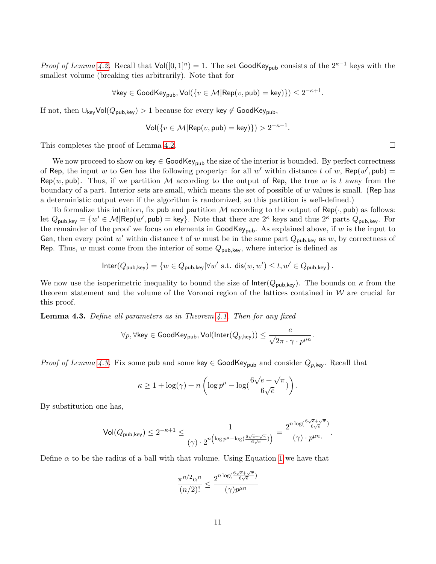*Proof of Lemma [4.2.](#page-9-0)* Recall that  $Vol([0,1]^n) = 1$ . The set GoodKey<sub>pub</sub> consists of the 2<sup>κ-1</sup> keys with the smallest volume (breaking ties arbitrarily). Note that for

$$
\forall \text{key} \in \text{GoodKey}_{\text{pub}}, \text{Vol}(\{v \in \mathcal{M} | \text{Rep}(v, \text{pub}) = \text{key})\}) \leq 2^{-\kappa+1}.
$$

If not, then  $\cup_{\text{key}}\text{Vol}(Q_{\text{pub},\text{key}}) > 1$  because for every key  $\notin \text{GoodKey}_{\text{pub}},$ 

$$
\mathsf{Vol}(\{v \in \mathcal{M} | \mathsf{Rep}(v, \mathsf{pub}) = \mathsf{key})\}) > 2^{-\kappa+1}.
$$

This completes the proof of Lemma [4.2.](#page-9-0)

We now proceed to show on key  $\in$  GoodKey<sub>pub</sub> the size of the interior is bounded. By perfect correctness of Rep, the input w to Gen has the following property: for all w' within distance t of w, Rep(w', pub) =  $\mathsf{Rep}(w, \mathsf{pub})$ . Thus, if we partition M according to the output of Rep, the true w is t away from the boundary of a part. Interior sets are small, which means the set of possible of  $w$  values is small. (Rep has a deterministic output even if the algorithm is randomized, so this partition is well-defined.)

To formalize this intuition, fix pub and partition M according to the output of Rep( $\cdot$ , pub) as follows: let  $Q_{\text{pub,key}} = \{w' \in \mathcal{M} | \text{Rep}(w', \text{pub}) = \text{key}\}.$  Note that there are  $2^{\kappa}$  keys and thus  $2^{\kappa}$  parts  $Q_{\text{pub,key}}.$  For the remainder of the proof we focus on elements in  $GoodKey_{pub}$ . As explained above, if w is the input to Gen, then every point w' within distance t of w must be in the same part  $Q_{\text{pub,key}}$  as w, by correctness of Rep. Thus, w must come from the interior of some  $Q_{\text{pub,key}}$ , where interior is defined as

$$
\mathsf{Inter}(Q_{\mathsf{pub},\mathsf{key}}) = \{ w \in Q_{\mathsf{pub},\mathsf{key}} | \forall w' \text{ s.t. } \mathsf{dis}(w,w') \le t, w' \in Q_{\mathsf{pub},\mathsf{key}} \}.
$$

We now use the isoperimetric inequality to bound the size of  $Inter(Q_{pub,key})$ . The bounds on  $\kappa$  from the theorem statement and the volume of the Voronoi region of the lattices contained in  $\mathcal W$  are crucial for this proof.

<span id="page-10-0"></span>**Lemma 4.3.** Define all parameters as in Theorem  $4.1$ . Then for any fixed

$$
\forall p, \forall \text{key} \in \mathsf{GoodKey_{pub}}, \mathsf{Vol}(\mathsf{Inter}(Q_{p,\text{key}})) \leq \frac{e}{\sqrt{2\pi} \cdot \gamma \cdot p^{\mu n}}.
$$

*Proof of Lemma [4.3.](#page-10-0)* Fix some pub and some key  $\in$  GoodKey<sub>pub</sub> and consider  $Q_{p,\text{key}}$ . Recall that

$$
\kappa \ge 1 + \log(\gamma) + n \left( \log p^{\mu} - \log \left( \frac{6\sqrt{e} + \sqrt{\pi}}{6\sqrt{e}} \right) \right).
$$

By substitution one has,

$$
\mathrm{Vol}(Q_{\mathrm{pub},\mathrm{key}}) \leq 2^{-\kappa+1} \leq \frac{1}{(\gamma) \cdot 2^{n \left(\log p^{\mu} - \log(\frac{6\sqrt{e}+\sqrt{\pi}}{6\sqrt{e}})\right)}} = \frac{2^{n \log(\frac{6\sqrt{e}+\sqrt{\pi}}{6\sqrt{e}})}}{(\gamma) \cdot p^{\mu n} }.
$$

.

Define  $\alpha$  to be the radius of a ball with that volume. Using Equation [1](#page-4-1) we have that

$$
\frac{\pi^{n/2} \alpha^n}{(n/2)!} \le \frac{2^{n \log(\frac{6\sqrt{c}+\sqrt{\pi}}{6\sqrt{c}})}}{(\gamma)p^{\mu n}}
$$

 $\Box$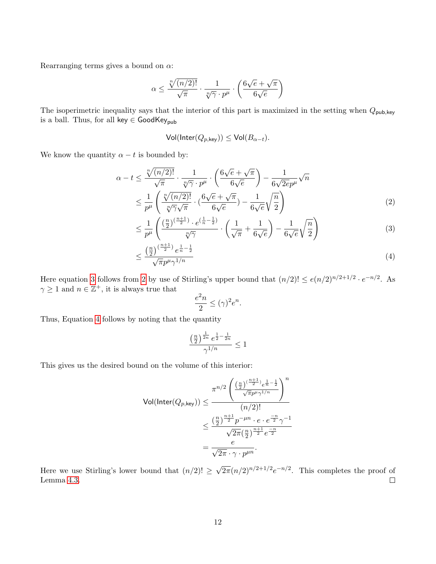Rearranging terms gives a bound on  $\alpha$ :

$$
\alpha \le \frac{\sqrt[n]{(n/2)!}}{\sqrt{\pi}} \cdot \frac{1}{\sqrt[n]{\gamma} \cdot p^{\mu}} \cdot \left(\frac{6\sqrt{e} + \sqrt{\pi}}{6\sqrt{e}}\right)
$$

The isoperimetric inequality says that the interior of this part is maximized in the setting when  $Q_{\text{pub,key}}$ is a ball. Thus, for all key  $\in$  GoodKey<sub>pub</sub>

$$
Vol(Inter(Q_{p,\text{key}})) \le Vol(B_{\alpha-t}).
$$

We know the quantity  $\alpha - t$  is bounded by:

$$
\alpha - t \le \frac{\sqrt[n]{(n/2)!}}{\sqrt{\pi}} \cdot \frac{1}{\sqrt[n]{\gamma} \cdot p^{\mu}} \cdot \left(\frac{6\sqrt{e} + \sqrt{\pi}}{6\sqrt{e}}\right) - \frac{1}{6\sqrt{2e}p^{\mu}}\sqrt{n}
$$

$$
\le \frac{1}{p^{\mu}} \left(\frac{\sqrt[n]{(n/2)!}}{\sqrt[n]{\gamma}\sqrt{\pi}} \cdot \left(\frac{6\sqrt{e} + \sqrt{\pi}}{6\sqrt{e}}\right) - \frac{1}{6\sqrt{e}}\sqrt{\frac{n}{2}}\right) \tag{2}
$$

$$
\leq \frac{1}{p^{\mu}} \left( \frac{\left(\frac{n}{2}\right)^{\left(\frac{n+1}{2}\right)} \cdot e^{\left(\frac{1}{n}-\frac{1}{2}\right)}}{\sqrt[n]{\gamma}} \cdot \left( \frac{1}{\sqrt{\pi}} + \frac{1}{6\sqrt{e}} \right) - \frac{1}{6\sqrt{e}} \sqrt{\frac{n}{2}} \right) \tag{3}
$$

$$
\leq \frac{\left(\frac{n}{2}\right)^{\left(\frac{n+1}{2}\right)}e^{\frac{1}{n}-\frac{1}{2}}}{\sqrt{\pi}p^{\mu}\gamma^{1/n}}\tag{4}
$$

Here equation [3](#page-11-0) follows from [2](#page-11-1) by use of Stirling's upper bound that  $(n/2)! \leq e(n/2)^{n/2+1/2} \cdot e^{-n/2}$ . As  $\gamma \geq 1$  and  $n \in \mathbb{Z}^+$ , it is always true that

<span id="page-11-2"></span><span id="page-11-1"></span><span id="page-11-0"></span>
$$
\frac{e^2n}{2}\leq (\gamma)^2e^n.
$$

Thus, Equation [4](#page-11-2) follows by noting that the quantity

$$
\frac{\left(\frac{n}{2}\right)^{\frac{1}{2n}}e^{\frac{1}{2}-\frac{1}{2n}}}{\gamma^{1/n}} \le 1
$$

This gives us the desired bound on the volume of this interior:

$$
\text{Vol}(\text{Inter}(Q_{p,\text{key}})) \le \frac{\pi^{n/2} \left( \frac{\left(\frac{n}{2}\right)^{\left(\frac{n+1}{2}\right)} e^{\frac{1}{n} - \frac{1}{2}}}{\sqrt{\pi} p^{\mu} \gamma^{1/n}} \right)^n}{(n/2)!}
$$

$$
\le \frac{\left(\frac{n}{2}\right)^{\frac{n+1}{2}} p^{-\mu n} \cdot e \cdot e^{\frac{-n}{2}} \gamma^{-1}}{\sqrt{2\pi} \left(\frac{n}{2}\right)^{\frac{n+1}{2}} e^{\frac{-n}{2}}}
$$

$$
= \frac{e}{\sqrt{2\pi} \cdot \gamma \cdot p^{\mu n}}.
$$

 $\sqrt{2\pi}(n/2)^{n/2+1/2}e^{-n/2}$ . This completes the proof of Here we use Stirling's lower bound that  $(n/2)! \ge$ Lemma [4.3.](#page-10-0)  $\Box$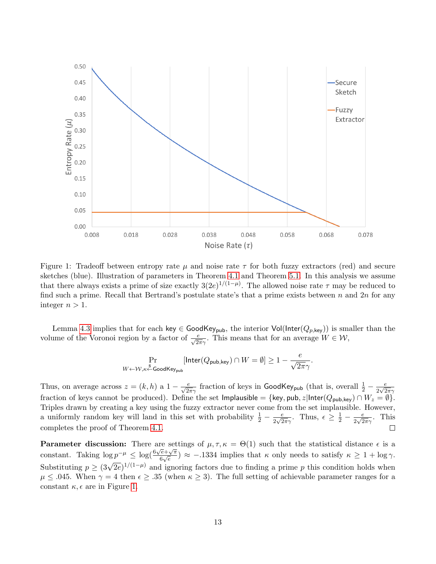

<span id="page-12-0"></span>Figure 1: Tradeoff between entropy rate  $\mu$  and noise rate  $\tau$  for both fuzzy extractors (red) and secure sketches (blue). Illustration of parameters in Theorem [4.1](#page-8-0) and Theorem [5.1.](#page-13-0) In this analysis we assume that there always exists a prime of size exactly  $3(2e)^{1/(1-\mu)}$ . The allowed noise rate  $\tau$  may be reduced to find such a prime. Recall that Bertrand's postulate state's that a prime exists between n and  $2n$  for any integer  $n > 1$ .

Lemma [4.3](#page-10-0) implies that for each key  $\in$  GoodKey<sub>pub</sub>, the interior Vol(Inter( $Q_{p,\text{key}}$ )) is smaller than the volume of the Voronoi region by a factor of  $\frac{e}{\sqrt{2\pi}\gamma}$ . This means that for an average  $W \in \mathcal{W}$ ,

$$
\Pr_{W \leftarrow \mathcal{W}, \kappa \xleftarrow{\mathbb{R}} \mathsf{GoodKey_{pub}}}[\mathsf{Inter}(Q_{\mathsf{pub}, \mathsf{key}}) \cap W = \emptyset] \ge 1 - \frac{e}{\sqrt{2\pi}\gamma}.
$$

Thus, on average across  $z = (k, h)$  a  $1 - \frac{e}{\sqrt{2\pi\gamma}}$  fraction of keys in GoodKey<sub>pub</sub> (that is, overall  $\frac{1}{2} - \frac{e}{2\sqrt{2}}$  $\frac{e}{2\sqrt{2\pi}\gamma}$ fraction of keys cannot be produced). Define the set Implausible = {key, pub, z|Inter( $Q_{\text{pub,key}}$ )  $\cap$   $W_z = \emptyset$ }. Triples drawn by creating a key using the fuzzy extractor never come from the set implausible. However, a uniformly random key will land in this set with probability  $\frac{1}{2} - \frac{e}{2\sqrt{2}}$  $\frac{e}{2\sqrt{2\pi}\gamma}$ . Thus,  $\epsilon \geq \frac{1}{2} - \frac{e}{2\sqrt{2}}$  $rac{e}{2\sqrt{2\pi}\gamma}$ . This completes the proof of Theorem [4.1.](#page-8-0)  $\Box$ 

**Parameter discussion:** There are settings of  $\mu, \tau, \kappa = \Theta(1)$  such that the statistical distance  $\epsilon$  is a constant. Taking  $\log p^{-\mu} \leq \log(\frac{6\sqrt{e}+\sqrt{\pi}}{6\sqrt{e}})$  $\frac{e+\sqrt{\pi}}{6\sqrt{e}}$   $\approx$  -.1334 implies that  $\kappa$  only needs to satisfy  $\kappa \geq 1 + \log \gamma$ . Substituting  $p \geq (3\sqrt{2e})^{1/(1-\mu)}$  and ignoring factors due to finding a prime p this condition holds when  $\mu \leq 0.045$ . When  $\gamma = 4$  then  $\epsilon \geq 0.35$  (when  $\kappa \geq 3$ ). The full setting of achievable parameter ranges for a constant  $\kappa$ ,  $\epsilon$  are in Figure [1.](#page-12-0)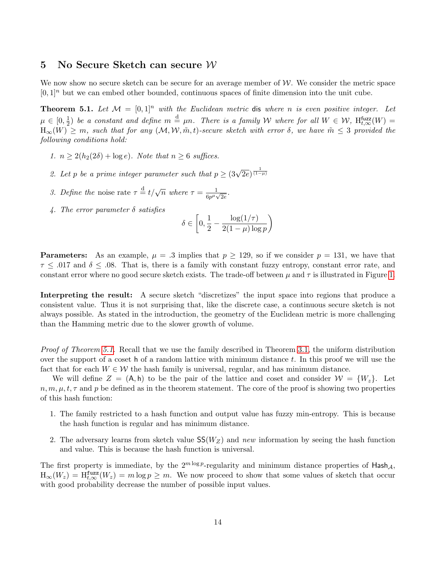#### <span id="page-13-1"></span>5 No Secure Sketch can secure W

We now show no secure sketch can be secure for an average member of  $W$ . We consider the metric space  $[0, 1]$ <sup>n</sup> but we can embed other bounded, continuous spaces of finite dimension into the unit cube.

<span id="page-13-0"></span>**Theorem 5.1.** Let  $M = [0, 1]^n$  with the Euclidean metric dis where n is even positive integer. Let  $\mu \in [0, \frac{1}{2}]$  $\frac{1}{2}$ ) be a constant and define  $m \stackrel{\rm d}{=} \mu n$ . There is a family W where for all  $W \in \mathcal{W}$ ,  $H_{t,\infty}^{\text{fuzz}}(W) =$  $H_{\infty}(W) \geq m$ , such that for any  $(M, W, \tilde{m}, t)$ -secure sketch with error  $\delta$ , we have  $\tilde{m} \leq 3$  provided the following conditions hold:

- 1.  $n \geq 2(h_2(2\delta) + \log e)$ . Note that  $n \geq 6$  suffices.
- 2. Let p be a prime integer parameter such that  $p \geq (3\sqrt{2e})^{\frac{1}{(1-\mu)}}$
- 3. Define the noise rate  $\tau \stackrel{\text{d}}{=} t/\sqrt{n}$  where  $\tau = \frac{1}{\epsilon_0 u}$ .  $\frac{1}{6p^{\mu}\sqrt{2e}}$  .
- 4. The error parameter  $\delta$  satisfies

$$
\delta \in \left[0, \frac{1}{2} - \frac{\log(1/\tau)}{2(1-\mu)\log p}\right)
$$

**Parameters:** As an example,  $\mu = .3$  implies that  $p \ge 129$ , so if we consider  $p = 131$ , we have that  $\tau \leq .017$  and  $\delta \leq .08$ . That is, there is a family with constant fuzzy entropy, constant error rate, and constant error where no good secure sketch exists. The trade-off between  $\mu$  and  $\tau$  is illustrated in Figure [1.](#page-12-0)

Interpreting the result: A secure sketch "discretizes" the input space into regions that produce a consistent value. Thus it is not surprising that, like the discrete case, a continuous secure sketch is not always possible. As stated in the introduction, the geometry of the Euclidean metric is more challenging than the Hamming metric due to the slower growth of volume.

Proof of Theorem [5.1.](#page-13-0) Recall that we use the family described in Theorem [3.1,](#page-6-1) the uniform distribution over the support of a coset h of a random lattice with minimum distance  $t$ . In this proof we will use the fact that for each  $W \in \mathcal{W}$  the hash family is universal, regular, and has minimum distance.

We will define  $Z = (A, h)$  to be the pair of the lattice and coset and consider  $\mathcal{W} = \{W_z\}$ . Let  $n, m, \mu, t, \tau$  and p be defined as in the theorem statement. The core of the proof is showing two properties of this hash function:

- 1. The family restricted to a hash function and output value has fuzzy min-entropy. This is because the hash function is regular and has minimum distance.
- 2. The adversary learns from sketch value  $SS(W_Z)$  and new information by seeing the hash function and value. This is because the hash function is universal.

The first property is immediate, by the  $2^{m \log p}$ -regularity and minimum distance properties of Hash<sub>A</sub>,  $H_{\infty}(W_z) = H_{t,\infty}^{\text{fuzz}}(W_z) = m \log p \geq m$ . We now proceed to show that some values of sketch that occur with good probability decrease the number of possible input values.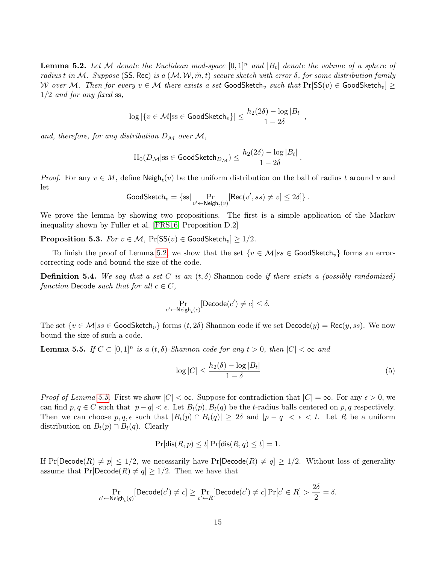<span id="page-14-0"></span>**Lemma 5.2.** Let M denote the Euclidean mod-space  $[0,1]^n$  and  $|B_t|$  denote the volume of a sphere of radius t in M. Suppose (SS, Rec) is a  $(M, W, \tilde{m}, t)$  secure sketch with error  $\delta$ , for some distribution family W over M. Then for every  $v \in \mathcal{M}$  there exists a set GoodSketch<sub>v</sub> such that  $Pr[SS(v) \in \text{GoodSketch}_v] \geq$  $1/2$  and for any fixed ss,

$$
\log|\{v \in \mathcal{M}|\text{ss} \in \text{GoodSketch}_v\}| \leq \frac{h_2(2\delta) - \log|B_t|}{1 - 2\delta},
$$

and, therefore, for any distribution  $D_{\mathcal{M}}$  over  $\mathcal{M}$ ,

$$
\mathrm H_0(D_{\mathcal M}|\mathrm{ss} \in \mathsf{GoodSketch}_{D_{\mathcal M}}) \leq \frac{h_2(2\delta)-\log |B_t|}{1-2\delta}\,.
$$

*Proof.* For any  $v \in M$ , define  $\mathsf{Neigh}_t(v)$  be the uniform distribution on the ball of radius t around v and let

$$
\text{GoodSketch}_{v} = \{\text{ss}|\Pr_{v' \leftarrow \text{Neigh}_{t}(v)}[\text{Rec}(v', ss) \neq v] \leq 2\delta]\}.
$$

We prove the lemma by showing two propositions. The first is a simple application of the Markov inequality shown by Fuller et al. [\[FRS16,](#page-19-7) Proposition D.2]

**Proposition 5.3.** For  $v \in \mathcal{M}$ , Pr $[SS(v) \in GoodSketch_v] \ge 1/2$ .

To finish the proof of Lemma [5.2,](#page-14-0) we show that the set  $\{v \in \mathcal{M} | ss \in \text{GoodSketch}_v\}$  forms an errorcorrecting code and bound the size of the code.

**Definition 5.4.** We say that a set C is an  $(t, \delta)$ -Shannon code if there exists a (possibly randomized) function Decode such that for all  $c \in C$ ,

$$
\Pr_{c' \leftarrow \mathsf{Neigh}_t(c)}[\mathsf{Decode}(c') \neq c] \leq \delta.
$$

The set  $\{v \in \mathcal{M} | ss \in \text{GoodSketch}_v\}$  forms  $(t, 2\delta)$  Shannon code if we set  $\text{Decode}(y) = \text{Rec}(y, ss)$ . We now bound the size of such a code.

<span id="page-14-1"></span>**Lemma 5.5.** If  $C \subset [0,1]^n$  is a  $(t, \delta)$ -Shannon code for any  $t > 0$ , then  $|C| < \infty$  and

<span id="page-14-2"></span>
$$
\log|C| \le \frac{h_2(\delta) - \log|B_t|}{1 - \delta} \tag{5}
$$

 $\alpha$ 

*Proof of Lemma [5.5.](#page-14-1)* First we show  $|C| < \infty$ . Suppose for contradiction that  $|C| = \infty$ . For any  $\epsilon > 0$ , we can find  $p, q \in C$  such that  $|p - q| < \epsilon$ . Let  $B_t(p), B_t(q)$  be the t-radius balls centered on p, q respectively. Then we can choose  $p, q, \epsilon$  such that  $|B_t(p) \cap B_t(q)| \geq 2\delta$  and  $|p - q| < \epsilon < t$ . Let R be a uniform distribution on  $B_t(p) \cap B_t(q)$ . Clearly

$$
\Pr[\text{dis}(R, p) \le t] \Pr[\text{dis}(R, q) \le t] = 1.
$$

If  $Pr[Decode(R) \neq p] \leq 1/2$ , we necessarily have  $Pr[Decode(R) \neq q] \geq 1/2$ . Without loss of generality assume that  $Pr[Decode(R) \neq q] \geq 1/2$ . Then we have that

$$
\Pr_{c' \leftarrow \mathsf{Neigh}_t(q)}[\mathsf{Decode}(c') \neq c] \ge \Pr_{c' \leftarrow R}[\mathsf{Decode}(c') \neq c] \Pr[c' \in R] > \frac{20}{2} = \delta.
$$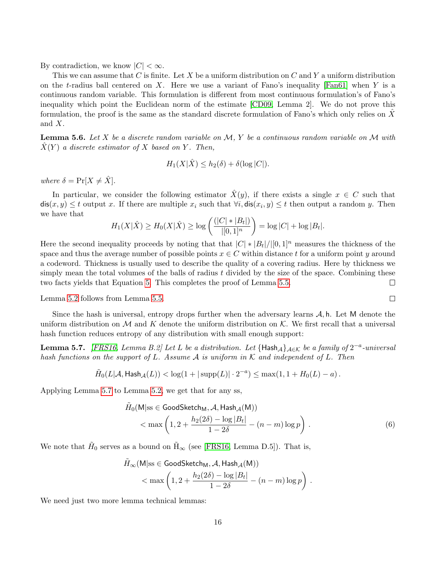By contradiction, we know  $|C| < \infty$ .

This we can assume that C is finite. Let X be a uniform distribution on C and Y a uniform distribution on the t-radius ball centered on X. Here we use a variant of Fano's inequality  $[Fan61]$  when Y is a continuous random variable. This formulation is different from most continuous formulation's of Fano's inequality which point the Euclidean norm of the estimate [\[CD09,](#page-18-9) Lemma 2]. We do not prove this formulation, the proof is the same as the standard discrete formulation of Fano's which only relies on  $\tilde{X}$ and X.

**Lemma 5.6.** Let X be a discrete random variable on  $M$ , Y be a continuous random variable on M with  $\hat{X}(Y)$  a discrete estimator of X based on Y. Then,

$$
H_1(X|\hat{X}) \le h_2(\delta) + \delta(\log|C|).
$$

where  $\delta = \Pr[X \neq \hat{X}].$ 

In particular, we consider the following estimator  $\hat{X}(y)$ , if there exists a single  $x \in C$  such that  $\textsf{dis}(x, y) \leq t$  output x. If there are multiple  $x_i$  such that  $\forall i, \textsf{dis}(x_i, y) \leq t$  then output a random y. Then we have that

$$
H_1(X|\hat{X}) \ge H_0(X|\hat{X}) \ge \log\left(\frac{(|C| * |B_t|)}{|[0,1]^n}\right) = \log|C| + \log|B_t|.
$$

Here the second inequality proceeds by noting that that  $|C| * |B_t|/|[0,1]^n$  measures the thickness of the space and thus the average number of possible points  $x \in C$  within distance t for a uniform point y around a codeword. Thickness is usually used to describe the quality of a covering radius. Here by thickness we simply mean the total volumes of the balls of radius  $t$  divided by the size of the space. Combining these two facts yields that Equation [5.](#page-14-2) This completes the proof of Lemma [5.5.](#page-14-1)  $\Box$ 

Lemma [5.2](#page-14-0) follows from Lemma [5.5.](#page-14-1)

Since the hash is universal, entropy drops further when the adversary learns  $A$ , h. Let M denote the uniform distribution on M and K denote the uniform distribution on K. We first recall that a universal hash function reduces entropy of any distribution with small enough support:

<span id="page-15-0"></span>**Lemma 5.7.** [\[FRS16,](#page-19-7) Lemma B.2] Let L be a distribution. Let  $\{\text{Hash}_{\mathcal{A}}\}_{\mathcal{A}\in\mathcal{K}}$  be a family of  $2^{-a}$ -universal hash functions on the support of L. Assume A is uniform in K and independent of L. Then

$$
\tilde{H}_0(L|\mathcal{A},\mathsf{Hash}_{\mathcal{A}}(L)) < \log(1+|\operatorname{supp}(L)|\cdot 2^{-a}) \leq \max(1,1+H_0(L)-a)\,.
$$

Applying Lemma [5.7](#page-15-0) to Lemma [5.2,](#page-14-0) we get that for any ss,

$$
\tilde{H}_0(\mathsf{M}|\text{ss} \in \mathsf{GoodSketch}_\mathsf{M}, \mathcal{A}, \mathsf{Hash}_{\mathcal{A}}(\mathsf{M}))
$$
\n
$$
< \max\left(1, 2 + \frac{h_2(2\delta) - \log|B_t|}{1 - 2\delta} - (n - m)\log p\right). \tag{6}
$$

 $\Box$ 

We note that  $H_0$  serves as a bound on  $\tilde{H}_{\infty}$  (see [\[FRS16,](#page-19-7) Lemma D.5]). That is,

$$
\begin{aligned} \tilde{H}_{\infty}(\mathsf{M}|\text{ss}\in \text{GoodSketch}_\mathsf{M}, \mathcal{A}, \text{Hash}_\mathcal{A}(\mathsf{M})) \\ < &\max\left(1, 2 + \frac{h_2(2\delta) - \log |B_t|}{1-2\delta} - (n-m)\log p\right)\,. \end{aligned}
$$

We need just two more lemma technical lemmas: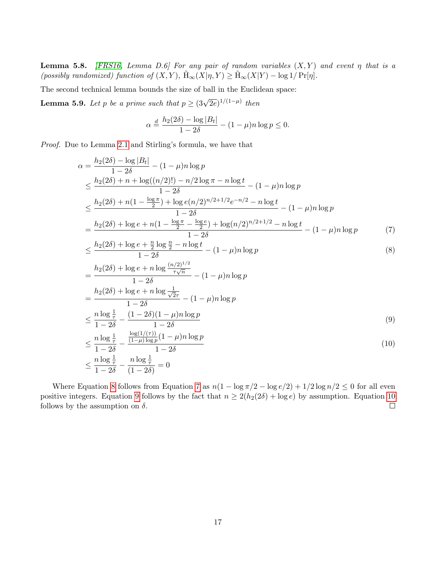**Lemma 5.8.** [\[FRS16,](#page-19-7) Lemma D.6] For any pair of random variables  $(X, Y)$  and event  $\eta$  that is a (possibly randomized) function of  $(X, Y)$ ,  $H_{\infty}(X|\eta, Y) \geq H_{\infty}(X|Y) - \log 1/Pr[\eta].$ 

The second technical lemma bounds the size of ball in the Euclidean space:

**Lemma 5.9.** Let p be a prime such that  $p \geq (3\sqrt{2e})^{1/(1-\mu)}$  then

<span id="page-16-1"></span><span id="page-16-0"></span>
$$
\alpha \stackrel{d}{=} \frac{h_2(2\delta) - \log |B_t|}{1 - 2\delta} - (1 - \mu)n \log p \le 0.
$$

Proof. Due to Lemma [2.1](#page-4-2) and Stirling's formula, we have that

$$
\alpha = \frac{h_2(2\delta) - \log|B_t|}{1 - 2\delta} - (1 - \mu)n \log p
$$
  
\n
$$
\leq \frac{h_2(2\delta) + n + \log((n/2)!) - n/2 \log \pi - n \log t}{1 - 2\delta} - (1 - \mu)n \log p
$$
  
\n
$$
\leq \frac{h_2(2\delta) + n(1 - \frac{\log \pi}{2}) + \log e(n/2)^{n/2 + 1/2} e^{-n/2} - n \log t}{1 - 2\delta} - (1 - \mu)n \log p
$$
  
\n
$$
= \frac{h_2(2\delta) + \log e + n(1 - \frac{\log \pi}{2} - \frac{\log e}{2}) + \log(n/2)^{n/2 + 1/2} - n \log t}{1 - 2\delta} - (1 - \mu)n \log p
$$
 (7)

$$
\leq \frac{h_2(2\delta) + \log e + \frac{n}{2}\log\frac{n}{2} - n\log t}{1 - 2\delta} - (1 - \mu)n\log p \tag{8}
$$

<span id="page-16-3"></span><span id="page-16-2"></span>
$$
= \frac{h_2(2\delta) + \log e + n \log \frac{(n/2)^{1/2}}{\tau \sqrt{n}}}{1 - 2\delta} - (1 - \mu)n \log p
$$
  
\n
$$
= \frac{h_2(2\delta) + \log e + n \log \frac{1}{\sqrt{2\tau}}}{1 - 2\delta} - (1 - \mu)n \log p
$$
  
\n
$$
\leq \frac{n \log \frac{1}{\tau}}{1 - 2\delta} - \frac{(1 - 2\delta)(1 - \mu)n \log p}{1 - 2\delta}
$$
  
\n
$$
\leq \frac{n \log \frac{1}{\tau}}{1 - 2\delta} - \frac{\frac{\log(1/(\tau))}{(1 - \mu)\log p}(1 - \mu)n \log p}{1 - 2\delta}
$$
  
\n
$$
\leq \frac{n \log \frac{1}{\tau}}{1 - 2\delta} - \frac{n \log \frac{1}{\tau}}{(1 - 2\delta)} = 0
$$
  
\n(10)

Where Equation [8](#page-16-0) follows from Equation [7](#page-16-1) as  $n(1 - \log \pi/2 - \log e/2) + 1/2 \log n/2 \leq 0$  for all even positive integers. Equation [9](#page-16-2) follows by the fact that  $n \ge 2(h_2(2\delta) + \log e)$  by assumption. Equation [10](#page-16-3) follows by the assumption on  $\delta$ .  $\Box$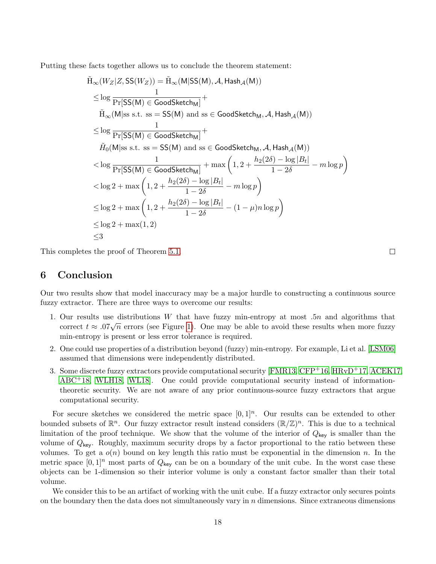Putting these facts together allows us to conclude the theorem statement:

$$
\tilde{H}_{\infty}(W_{Z}|Z, SS(W_{Z})) = \tilde{H}_{\infty}(M|SS(M), \mathcal{A}, \text{Hash}_{\mathcal{A}}(M))
$$
\n
$$
\leq \log \frac{1}{\Pr[SS(M) \in \text{GoodSketch}_{M}]} + \tilde{H}_{\infty}(M|ss \text{ s.t. } ss = SS(M) \text{ and } ss \in \text{GoodSketch}_{M}, \mathcal{A}, \text{Hash}_{\mathcal{A}}(M))
$$
\n
$$
\leq \log \frac{1}{\Pr[SS(M) \in \text{GoodSketch}_{M}]} + \tilde{H}_{0}(M|ss \text{ s.t. } ss = SS(M) \text{ and } ss \in \text{GoodSketch}_{M}, \mathcal{A}, \text{Hash}_{\mathcal{A}}(M))
$$
\n
$$
< \log \frac{1}{\Pr[SS(M) \in \text{GoodSketch}_{M}]} + \max \left(1, 2 + \frac{h_{2}(2\delta) - \log|B_{t}|}{1 - 2\delta} - m \log p\right)
$$
\n
$$
< \log 2 + \max \left(1, 2 + \frac{h_{2}(2\delta) - \log|B_{t}|}{1 - 2\delta} - m \log p\right)
$$
\n
$$
\leq \log 2 + \max \left(1, 2 + \frac{h_{2}(2\delta) - \log|B_{t}|}{1 - 2\delta} - (1 - \mu) n \log p\right)
$$
\n
$$
\leq \log 2 + \max(1, 2)
$$
\n
$$
\leq 3
$$

This completes the proof of Theorem [5.1.](#page-13-0)

## 6 Conclusion

Our two results show that model inaccuracy may be a major hurdle to constructing a continuous source fuzzy extractor. There are three ways to overcome our results:

- 1. Our results use distributions W that have fuzzy min-entropy at most .5n and algorithms that Cur results use distributions W that have ruzzy inh-entropy at most  $\beta n$  and algorithms that correct  $t \approx .07\sqrt{n}$  errors (see Figure [1\)](#page-12-0). One may be able to avoid these results when more fuzzy min-entropy is present or less error tolerance is required.
- 2. One could use properties of a distribution beyond (fuzzy) min-entropy. For example, Li et al. [\[LSM06\]](#page-20-9) assumed that dimensions were independently distributed.
- 3. Some discrete fuzzy extractors provide computational security [\[FMR13,](#page-19-12) [CFP](#page-18-4)+16, [HRvD](#page-19-13)+17, [ACEK17,](#page-18-10) [ABC](#page-18-11)+18, [WLH18,](#page-21-1) [WL18\]](#page-21-2). One could provide computational security instead of informationtheoretic security. We are not aware of any prior continuous-source fuzzy extractors that argue computational security.

For secure sketches we considered the metric space  $[0, 1]^n$ . Our results can be extended to other bounded subsets of  $\mathbb{R}^n$ . Our fuzzy extractor result instead considers  $(\mathbb{R}/\mathbb{Z})^n$ . This is due to a technical limitation of the proof technique. We show that the volume of the interior of  $Q_{\text{key}}$  is smaller than the volume of  $Q_{\text{key}}$ . Roughly, maximum security drops by a factor proportional to the ratio between these volumes. To get a  $o(n)$  bound on key length this ratio must be exponential in the dimension n. In the metric space  $[0,1]^n$  most parts of  $Q_{\text{key}}$  can be on a boundary of the unit cube. In the worst case these objects can be 1-dimension so their interior volume is only a constant factor smaller than their total volume.

We consider this to be an artifact of working with the unit cube. If a fuzzy extractor only secures points on the boundary then the data does not simultaneously vary in  $n$  dimensions. Since extraneous dimensions

 $\Box$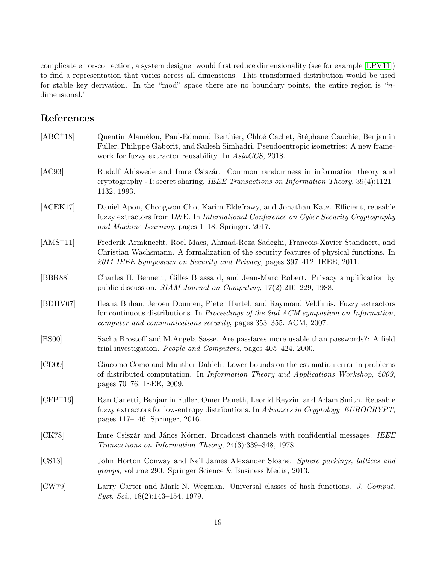complicate error-correction, a system designer would first reduce dimensionality (see for example [\[LPV11\]](#page-20-13)) to find a representation that varies across all dimensions. This transformed distribution would be used for stable key derivation. In the "mod" space there are no boundary points, the entire region is " $n$ dimensional."

## References

<span id="page-18-11"></span><span id="page-18-10"></span><span id="page-18-9"></span><span id="page-18-8"></span><span id="page-18-7"></span><span id="page-18-6"></span><span id="page-18-5"></span><span id="page-18-4"></span><span id="page-18-3"></span><span id="page-18-2"></span><span id="page-18-1"></span><span id="page-18-0"></span>

| $[ABC+18]$ | Quentin Alamélou, Paul-Edmond Berthier, Chloé Cachet, Stéphane Cauchie, Benjamin<br>Fuller, Philippe Gaborit, and Sailesh Simhadri. Pseudoentropic isometries: A new frame-<br>work for fuzzy extractor reusability. In AsiaCCS, 2018.                  |
|------------|---------------------------------------------------------------------------------------------------------------------------------------------------------------------------------------------------------------------------------------------------------|
| [AC93]     | Rudolf Ahlswede and Imre Csiszár. Common randomness in information theory and<br>cryptography - I: secret sharing. IEEE Transactions on Information Theory, $39(4):1121-$<br>1132, 1993.                                                                |
| [ACEK17]   | Daniel Apon, Chongwon Cho, Karim Eldefrawy, and Jonathan Katz. Efficient, reusable<br>fuzzy extractors from LWE. In International Conference on Cyber Security Cryptography<br>and Machine Learning, pages 1–18. Springer, 2017.                        |
| $[AMS+11]$ | Frederik Armknecht, Roel Maes, Ahmad-Reza Sadeghi, Francois-Xavier Standaert, and<br>Christian Wachsmann. A formalization of the security features of physical functions. In<br>2011 IEEE Symposium on Security and Privacy, pages 397-412. IEEE, 2011. |
| [BBR88]    | Charles H. Bennett, Gilles Brassard, and Jean-Marc Robert. Privacy amplification by<br>public discussion. <i>SIAM Journal on Computing</i> , $17(2):210-229$ , 1988.                                                                                    |
| [BDHV07]   | Ileana Buhan, Jeroen Doumen, Pieter Hartel, and Raymond Veldhuis. Fuzzy extractors<br>for continuous distributions. In Proceedings of the 2nd ACM symposium on Information,<br>computer and communications security, pages 353-355. ACM, 2007.          |
| [BS00]     | Sacha Brostoff and M.Angela Sasse. Are passfaces more usable than passwords?: A field<br>trial investigation. People and Computers, pages 405–424, 2000.                                                                                                |
| [CD09]     | Giacomo Como and Munther Dahleh. Lower bounds on the estimation error in problems<br>of distributed computation. In <i>Information Theory and Applications Workshop</i> , 2009,<br>pages 70–76. IEEE, 2009.                                             |
| $[CFP+16]$ | Ran Canetti, Benjamin Fuller, Omer Paneth, Leonid Reyzin, and Adam Smith. Reusable<br>fuzzy extractors for low-entropy distributions. In Advances in Cryptology-EUROCRYPT,<br>pages 117–146. Springer, 2016.                                            |
| [CK78]     | Imre Csiszár and János Körner. Broadcast channels with confidential messages. IEEE<br>Transactions on Information Theory, 24(3):339-348, 1978.                                                                                                          |
| [CS13]     | John Horton Conway and Neil James Alexander Sloane. Sphere packings, lattices and<br><i>groups</i> , volume 290. Springer Science & Business Media, 2013.                                                                                               |
| [CW79]     | Larry Carter and Mark N. Wegman. Universal classes of hash functions. J. Comput.<br><i>Syst. Sci.</i> , $18(2):143-154$ , 1979.                                                                                                                         |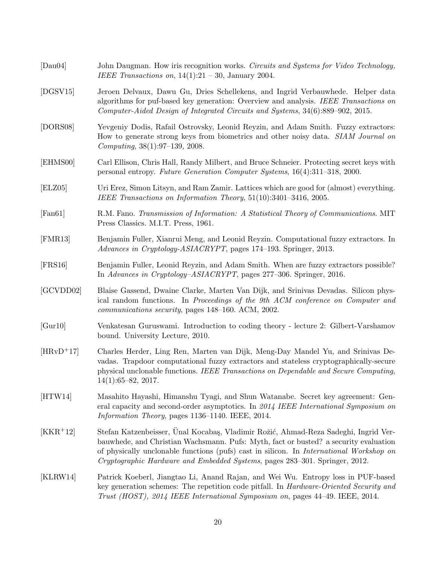<span id="page-19-13"></span><span id="page-19-12"></span><span id="page-19-11"></span><span id="page-19-10"></span><span id="page-19-9"></span><span id="page-19-8"></span><span id="page-19-7"></span><span id="page-19-6"></span><span id="page-19-5"></span><span id="page-19-4"></span><span id="page-19-3"></span><span id="page-19-2"></span><span id="page-19-1"></span><span id="page-19-0"></span>

| [Dau04]     | John Daugman. How iris recognition works. Circuits and Systems for Video Technology,<br>IEEE Transactions on, $14(1):21 - 30$ , January 2004.                                                                                                                                                                                                                |
|-------------|--------------------------------------------------------------------------------------------------------------------------------------------------------------------------------------------------------------------------------------------------------------------------------------------------------------------------------------------------------------|
| [DSSV15]    | Jeroen Delvaux, Dawu Gu, Dries Schellekens, and Ingrid Verbauwhede. Helper data<br>algorithms for puf-based key generation: Overview and analysis. IEEE Transactions on<br>Computer-Aided Design of Integrated Circuits and Systems, 34(6):889-902, 2015.                                                                                                    |
| [DORS08]    | Yevgeniy Dodis, Rafail Ostrovsky, Leonid Reyzin, and Adam Smith. Fuzzy extractors:<br>How to generate strong keys from biometrics and other noisy data. SIAM Journal on<br>Computing, 38(1):97-139, 2008.                                                                                                                                                    |
| [EHMS00]    | Carl Ellison, Chris Hall, Randy Milbert, and Bruce Schneier. Protecting secret keys with<br>personal entropy. Future Generation Computer Systems, 16(4):311-318, 2000.                                                                                                                                                                                       |
| [ELZ05]     | Uri Erez, Simon Litsyn, and Ram Zamir. Lattices which are good for (almost) everything.<br>IEEE Transactions on Information Theory, 51(10):3401-3416, 2005.                                                                                                                                                                                                  |
| [Fan61]     | R.M. Fano. Transmission of Information: A Statistical Theory of Communications. MIT<br>Press Classics. M.I.T. Press, 1961.                                                                                                                                                                                                                                   |
| [FMR13]     | Benjamin Fuller, Xianrui Meng, and Leonid Reyzin. Computational fuzzy extractors. In<br>Advances in Cryptology-ASIACRYPT, pages 174-193. Springer, 2013.                                                                                                                                                                                                     |
| [FRS16]     | Benjamin Fuller, Leonid Reyzin, and Adam Smith. When are fuzzy extractors possible?<br>In Advances in Cryptology-ASIACRYPT, pages 277-306. Springer, 2016.                                                                                                                                                                                                   |
| [GCVDD02]   | Blaise Gassend, Dwaine Clarke, Marten Van Dijk, and Srinivas Devadas. Silicon phys-<br>ical random functions. In Proceedings of the 9th ACM conference on Computer and<br>communications security, pages 148-160. ACM, 2002.                                                                                                                                 |
| [Gur10]     | Venkatesan Guruswami. Introduction to coding theory - lecture 2: Gilbert-Varshamov<br>bound. University Lecture, 2010.                                                                                                                                                                                                                                       |
| $[HRvD+17]$ | Charles Herder, Ling Ren, Marten van Dijk, Meng-Day Mandel Yu, and Srinivas De-<br>vadas. Trapdoor computational fuzzy extractors and stateless cryptographically-secure<br>physical unclonable functions. IEEE Transactions on Dependable and Secure Computing,<br>$14(1):65-82, 2017.$                                                                     |
| [HTW14]     | Masahito Hayashi, Himanshu Tyagi, and Shun Watanabe. Secret key agreement: Gen-<br>eral capacity and second-order asymptotics. In 2014 IEEE International Symposium on<br>Information Theory, pages 1136–1140. IEEE, 2014.                                                                                                                                   |
| $[KKR+12]$  | Stefan Katzenbeisser, Ünal Kocabaş, Vladimir Rožić, Ahmad-Reza Sadeghi, Ingrid Ver-<br>bauwhede, and Christian Wachsmann. Pufs: Myth, fact or busted? a security evaluation<br>of physically unclonable functions (pufs) cast in silicon. In <i>International Workshop on</i><br>Cryptographic Hardware and Embedded Systems, pages 283–301. Springer, 2012. |
| [KLRW14]    | Patrick Koeberl, Jiangtao Li, Anand Rajan, and Wei Wu. Entropy loss in PUF-based<br>key generation schemes: The repetition code pitfall. In <i>Hardware-Oriented Security and</i><br>Trust (HOST), 2014 IEEE International Symposium on, pages 44-49. IEEE, 2014.                                                                                            |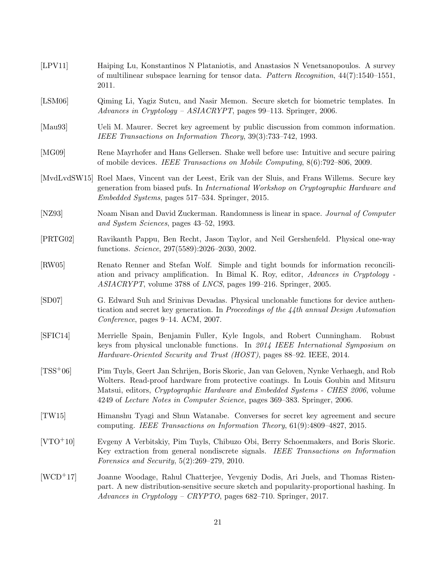- <span id="page-20-13"></span>[LPV11] Haiping Lu, Konstantinos N Plataniotis, and Anastasios N Venetsanopoulos. A survey of multilinear subspace learning for tensor data. Pattern Recognition,  $44(7)$ :1540–1551, 2011.
- <span id="page-20-9"></span>[LSM06] Qiming Li, Yagiz Sutcu, and Nasir Memon. Secure sketch for biometric templates. In Advances in Cryptology – ASIACRYPT, pages 99–113. Springer, 2006.
- <span id="page-20-10"></span>[Mau93] Ueli M. Maurer. Secret key agreement by public discussion from common information. IEEE Transactions on Information Theory, 39(3):733–742, 1993.
- <span id="page-20-0"></span>[MG09] Rene Mayrhofer and Hans Gellersen. Shake well before use: Intuitive and secure pairing of mobile devices. IEEE Transactions on Mobile Computing, 8(6):792–806, 2009.
- <span id="page-20-6"></span>[MvdLvdSW15] Roel Maes, Vincent van der Leest, Erik van der Sluis, and Frans Willems. Secure key generation from biased pufs. In International Workshop on Cryptographic Hardware and Embedded Systems, pages 517–534. Springer, 2015.
- <span id="page-20-4"></span>[NZ93] Noam Nisan and David Zuckerman. Randomness is linear in space. Journal of Computer and System Sciences, pages 43–52, 1993.
- <span id="page-20-1"></span>[PRTG02] Ravikanth Pappu, Ben Recht, Jason Taylor, and Neil Gershenfeld. Physical one-way functions. Science, 297(5589):2026–2030, 2002.
- <span id="page-20-11"></span>[RW05] Renato Renner and Stefan Wolf. Simple and tight bounds for information reconciliation and privacy amplification. In Bimal K. Roy, editor, Advances in Cryptology - ASIACRYPT, volume 3788 of LNCS, pages 199–216. Springer, 2005.
- <span id="page-20-2"></span>[SD07] G. Edward Suh and Srinivas Devadas. Physical unclonable functions for device authentication and secret key generation. In Proceedings of the 44th annual Design Automation Conference, pages 9–14. ACM, 2007.
- <span id="page-20-5"></span>[SFIC14] Merrielle Spain, Benjamin Fuller, Kyle Ingols, and Robert Cunningham. Robust keys from physical unclonable functions. In 2014 IEEE International Symposium on Hardware-Oriented Security and Trust (HOST), pages 88–92. IEEE, 2014.
- <span id="page-20-3"></span>[TSS+06] Pim Tuyls, Geert Jan Schrijen, Boris Skoric, Jan van Geloven, Nynke Verhaegh, and Rob Wolters. Read-proof hardware from protective coatings. In Louis Goubin and Mitsuru Matsui, editors, Cryptographic Hardware and Embedded Systems - CHES 2006, volume 4249 of Lecture Notes in Computer Science, pages 369–383. Springer, 2006.
- <span id="page-20-12"></span>[TW15] Himanshu Tyagi and Shun Watanabe. Converses for secret key agreement and secure computing. IEEE Transactions on Information Theory, 61(9):4809–4827, 2015.
- <span id="page-20-8"></span>[VTO+10] Evgeny A Verbitskiy, Pim Tuyls, Chibuzo Obi, Berry Schoenmakers, and Boris Skoric. Key extraction from general nondiscrete signals. IEEE Transactions on Information Forensics and Security, 5(2):269–279, 2010.
- <span id="page-20-7"></span>[WCD+17] Joanne Woodage, Rahul Chatterjee, Yevgeniy Dodis, Ari Juels, and Thomas Ristenpart. A new distribution-sensitive secure sketch and popularity-proportional hashing. In Advances in Cryptology – CRYPTO, pages 682–710. Springer, 2017.